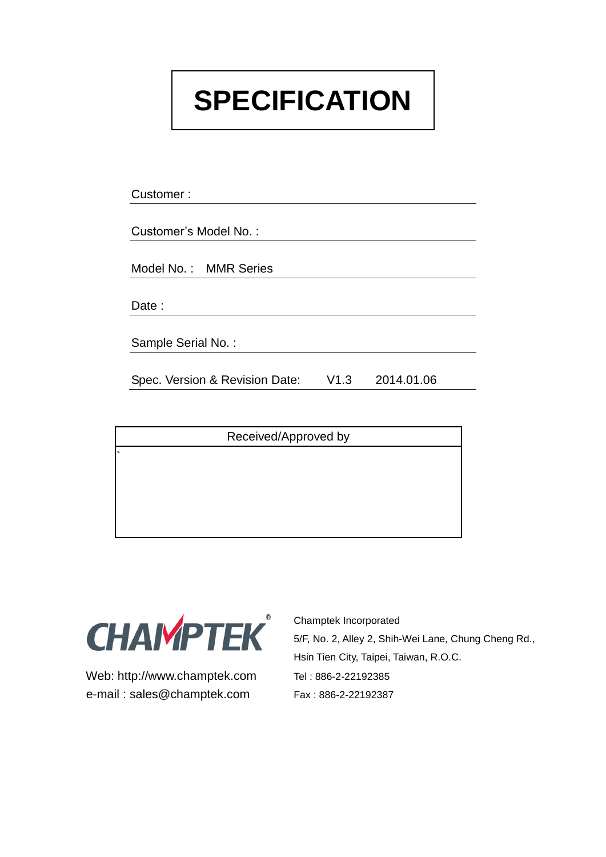# **SPECIFICATION**

| Customer:                      |      |            |  |
|--------------------------------|------|------------|--|
|                                |      |            |  |
| Customer's Model No.:          |      |            |  |
|                                |      |            |  |
| Model No.: MMR Series          |      |            |  |
|                                |      |            |  |
| Date:                          |      |            |  |
|                                |      |            |  |
| Sample Serial No.:             |      |            |  |
|                                |      |            |  |
| Spec. Version & Revision Date: | V1.3 | 2014.01.06 |  |
|                                |      |            |  |
|                                |      |            |  |

Received/Approved by



`

Web: http://www.champtek.com Tel: 886-2-22192385 e-mail: sales@champtek.com Fax: 886-2-22192387

Champtek Incorporated 5/F, No. 2, Alley 2, Shih-Wei Lane, Chung Cheng Rd., Hsin Tien City, Taipei, Taiwan, R.O.C.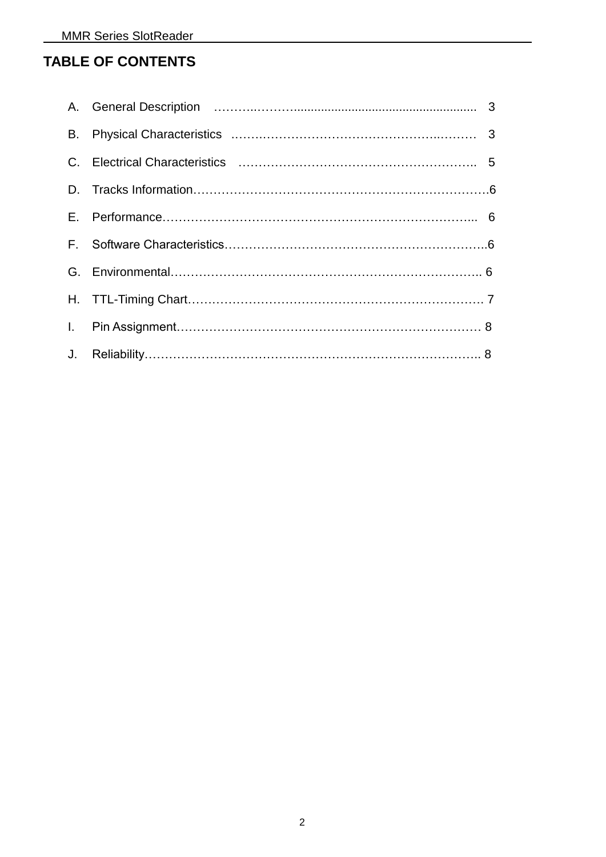#### **TABLE OF CONTENTS**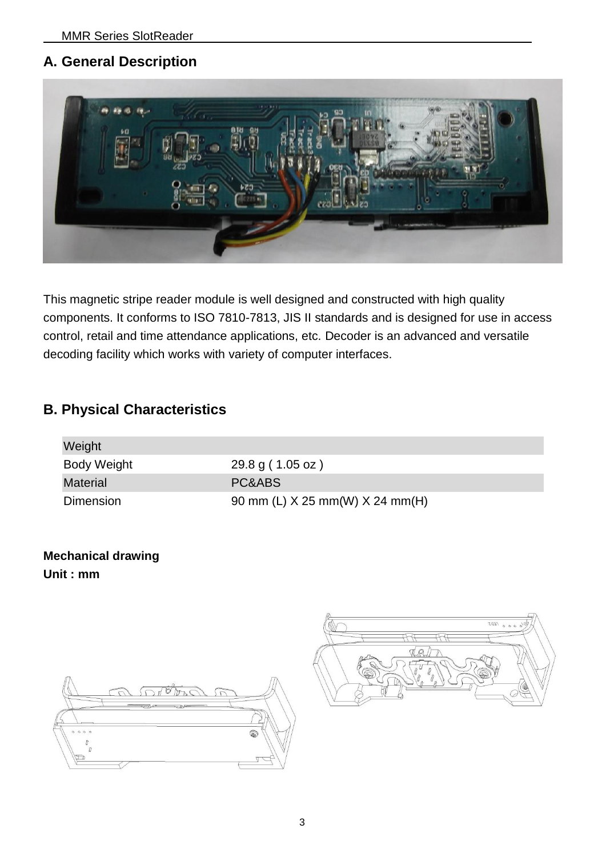#### **A. General Description**



This magnetic stripe reader module is well designed and constructed with high quality components. It conforms to ISO 7810-7813, JIS II standards and is designed for use in access control, retail and time attendance applications, etc. Decoder is an advanced and versatile decoding facility which works with variety of computer interfaces.

#### **B. Physical Characteristics**

| Weight             |                                 |
|--------------------|---------------------------------|
| <b>Body Weight</b> | 29.8 g(1.05 oz)                 |
| <b>Material</b>    | PC&ABS                          |
| Dimension          | 90 mm (L) X 25 mm(W) X 24 mm(H) |

**Mechanical drawing Unit : mm**



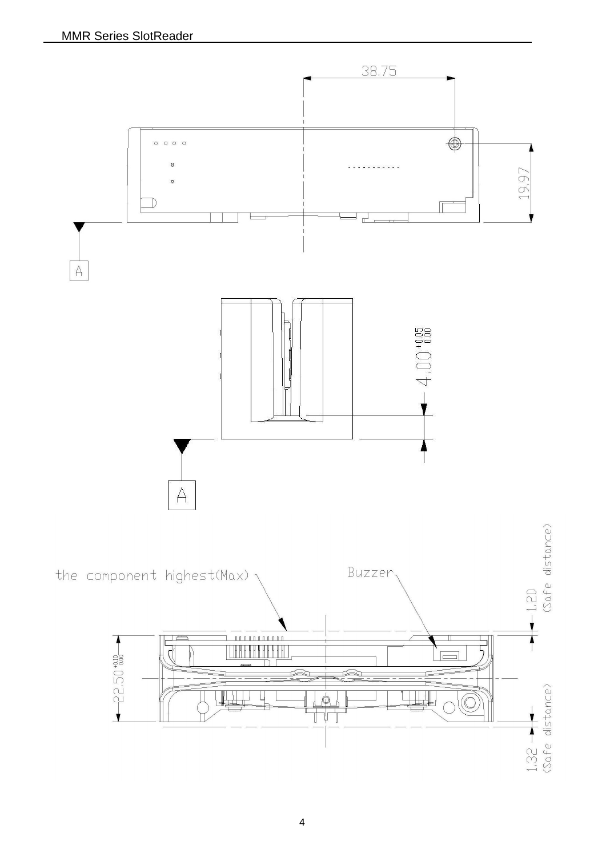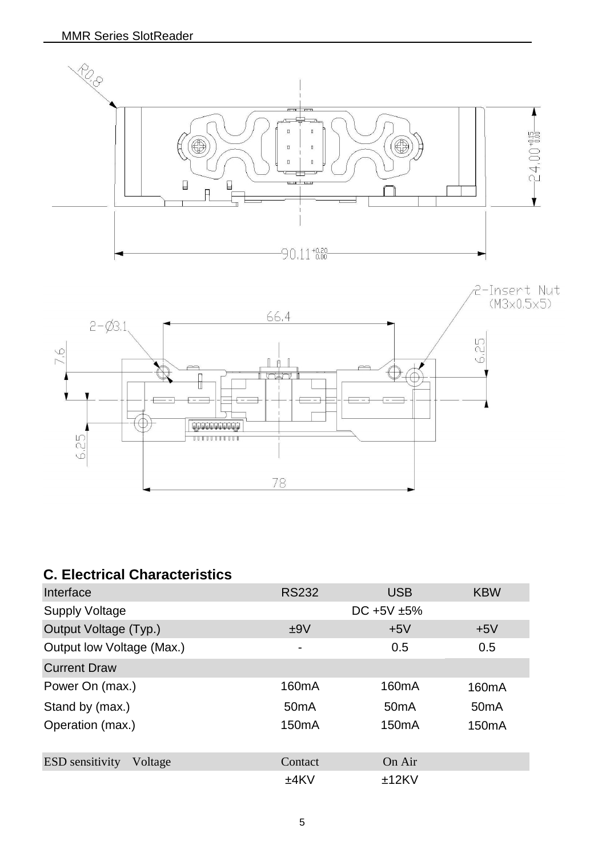

#### **C. Electrical Characteristics**

| Interface                         | <b>RS232</b>       | <b>USB</b>         | <b>KBW</b>         |
|-----------------------------------|--------------------|--------------------|--------------------|
| <b>Supply Voltage</b>             |                    | DC +5V $\pm$ 5%    |                    |
| Output Voltage (Typ.)             | ±9V                | $+5V$              | $+5V$              |
| Output low Voltage (Max.)         | -                  | 0.5                | 0.5                |
| <b>Current Draw</b>               |                    |                    |                    |
| Power On (max.)                   | 160 <sub>m</sub> A | 160 <sub>m</sub> A | 160 <sub>m</sub> A |
| Stand by (max.)                   | 50 <sub>m</sub> A  | 50mA               | 50 <sub>m</sub> A  |
| Operation (max.)                  | 150 <sub>m</sub> A | 150 <sub>m</sub> A | 150 <sub>m</sub> A |
|                                   |                    |                    |                    |
| <b>ESD</b> sensitivity<br>Voltage | Contact            | On Air             |                    |
|                                   | ±4KV               | ±12KV              |                    |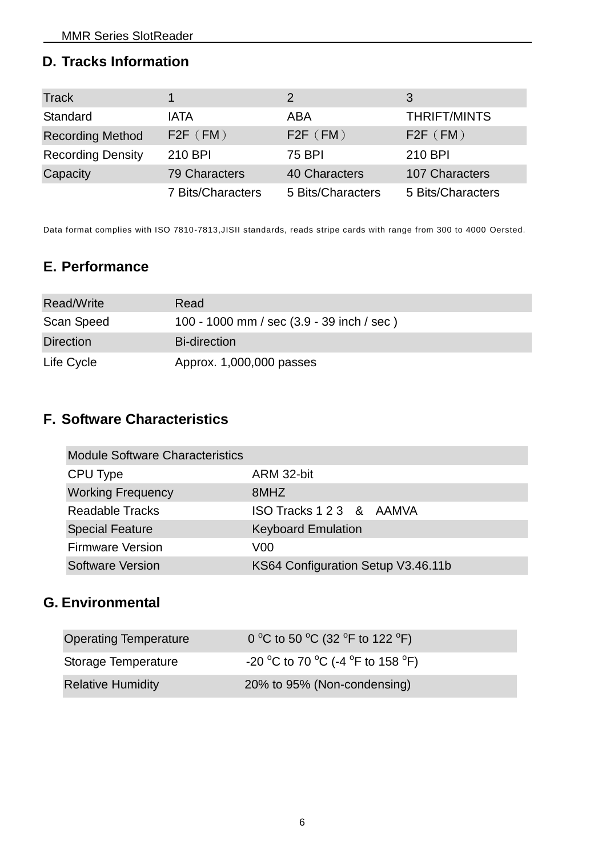#### **D. Tracks Information**

| <b>Track</b>             |                      | 2                 | 3                   |
|--------------------------|----------------------|-------------------|---------------------|
| Standard                 | IATA                 | ABA               | <b>THRIFT/MINTS</b> |
| <b>Recording Method</b>  | $F2F$ ( $FM$ )       | $F2F$ ( $FM$ )    | $F2F$ ( $FM$ )      |
| <b>Recording Density</b> | 210 BPI              | 75 BPI            | 210 BPI             |
| Capacity                 | <b>79 Characters</b> | 40 Characters     | 107 Characters      |
|                          | 7 Bits/Characters    | 5 Bits/Characters | 5 Bits/Characters   |

Data format complies with ISO 7810-7813,JISII standards, reads stripe cards with range from 300 to 4000 Oersted.

### **E. Performance**

| <b>Read/Write</b> | Read                                      |
|-------------------|-------------------------------------------|
| Scan Speed        | 100 - 1000 mm / sec (3.9 - 39 inch / sec) |
| <b>Direction</b>  | <b>Bi-direction</b>                       |
| Life Cycle        | Approx. 1,000,000 passes                  |

#### **F. Software Characteristics**

| <b>Module Software Characteristics</b> |                                    |  |
|----------------------------------------|------------------------------------|--|
| CPU Type                               | ARM 32-bit                         |  |
| <b>Working Frequency</b>               | 8MHZ                               |  |
| <b>Readable Tracks</b>                 | ISO Tracks 1 2 3 & AAMVA           |  |
| <b>Special Feature</b>                 | <b>Keyboard Emulation</b>          |  |
| <b>Firmware Version</b>                | V <sub>00</sub>                    |  |
| <b>Software Version</b>                | KS64 Configuration Setup V3.46.11b |  |

## **G. Environmental**

| <b>Operating Temperature</b> | 0 °C to 50 °C (32 °F to 122 °F)   |
|------------------------------|-----------------------------------|
| Storage Temperature          | -20 °C to 70 °C (-4 °F to 158 °F) |
| <b>Relative Humidity</b>     | 20% to 95% (Non-condensing)       |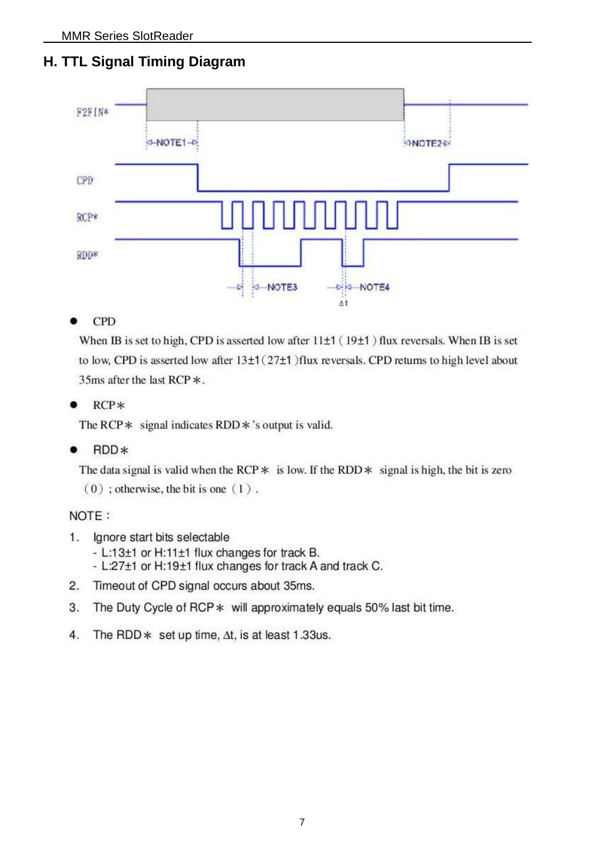### **H. TTL Signal Timing Diagram**



#### **CPD**

When IB is set to high, CPD is asserted low after  $11\pm1$  (19 $\pm1$ ) flux reversals. When IB is set to low, CPD is asserted low after  $13\pm1(27\pm1)$  flux reversals. CPD returns to high level about 35ms after the last RCP  $\ast$ .

 $RCP*$ 

The RCP  $*$  signal indicates RDD  $*$ 's output is valid.

RDD\*

The data signal is valid when the RCP  $*$  is low. If the RDD  $*$  signal is high, the bit is zero

```
(0); otherwise, the bit is one (1).
```
#### NOTE:

- 1. Ignore start bits selectable
	- L:13±1 or H:11±1 flux changes for track B.
	- L:27±1 or H:19±1 flux changes for track A and track C.
- $2.$ Timeout of CPD signal occurs about 35ms.
- 3. The Duty Cycle of RCP \* will approximately equals 50% last bit time.
- $4.$ The RDD  $*$  set up time,  $\Delta t$ , is at least 1.33us.